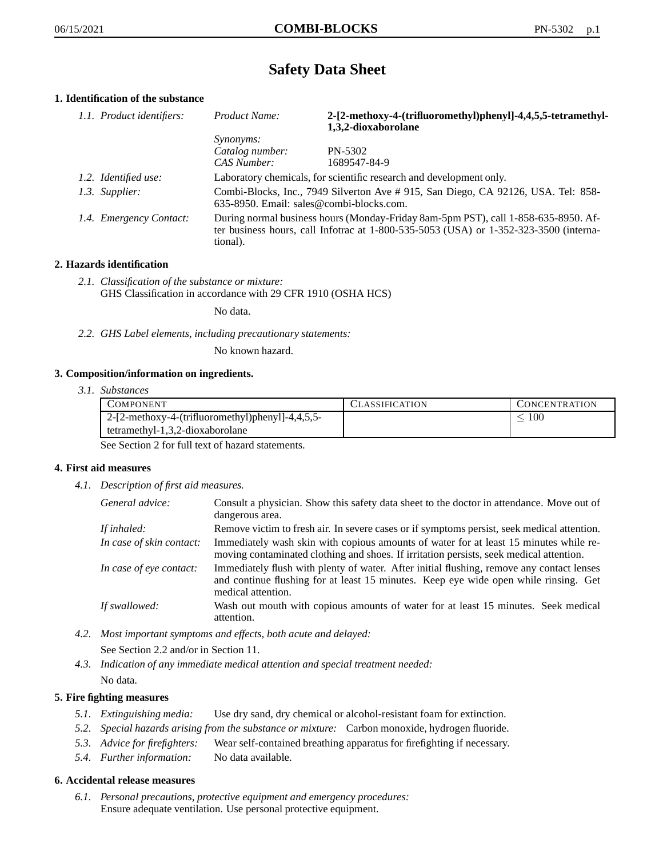# **Safety Data Sheet**

# **1. Identification of the substance**

| 1.1. Product identifiers: | Product Name:                                                                                                                                                                               | 2-[2-methoxy-4-(trifluoromethyl)phenyl]-4,4,5,5-tetramethyl-<br>1,3,2-dioxaborolane |
|---------------------------|---------------------------------------------------------------------------------------------------------------------------------------------------------------------------------------------|-------------------------------------------------------------------------------------|
|                           | <i>Synonyms:</i>                                                                                                                                                                            |                                                                                     |
|                           | Catalog number:                                                                                                                                                                             | PN-5302                                                                             |
|                           | CAS Number:                                                                                                                                                                                 | 1689547-84-9                                                                        |
| 1.2. Identified use:      | Laboratory chemicals, for scientific research and development only.                                                                                                                         |                                                                                     |
| 1.3. Supplier:            | Combi-Blocks, Inc., 7949 Silverton Ave #915, San Diego, CA 92126, USA. Tel: 858-<br>635-8950. Email: sales@combi-blocks.com.                                                                |                                                                                     |
| 1.4. Emergency Contact:   | During normal business hours (Monday-Friday 8am-5pm PST), call 1-858-635-8950. Af-<br>ter business hours, call Infotrac at $1-800-535-5053$ (USA) or $1-352-323-3500$ (interna-<br>tional). |                                                                                     |

# **2. Hazards identification**

*2.1. Classification of the substance or mixture:* GHS Classification in accordance with 29 CFR 1910 (OSHA HCS)

No data.

*2.2. GHS Label elements, including precautionary statements:*

No known hazard.

## **3. Composition/information on ingredients.**

*3.1. Substances*

| COMPONENT                                           | CLASSIFICATION | CONCENTRATION |
|-----------------------------------------------------|----------------|---------------|
| $2-[2-methoxy-4-(trifluorometry1])phenyl]-4,4,5,5-$ |                | 100           |
| $tetramethyl-1,3,2-dioxaborolane$                   |                |               |

See Section 2 for full text of hazard statements.

## **4. First aid measures**

*4.1. Description of first aid measures.*

| General advice:          | Consult a physician. Show this safety data sheet to the doctor in attendance. Move out of<br>dangerous area.                                                                                            |
|--------------------------|---------------------------------------------------------------------------------------------------------------------------------------------------------------------------------------------------------|
| If inhaled:              | Remove victim to fresh air. In severe cases or if symptoms persist, seek medical attention.                                                                                                             |
| In case of skin contact: | Immediately wash skin with copious amounts of water for at least 15 minutes while re-<br>moving contaminated clothing and shoes. If irritation persists, seek medical attention.                        |
| In case of eye contact:  | Immediately flush with plenty of water. After initial flushing, remove any contact lenses<br>and continue flushing for at least 15 minutes. Keep eye wide open while rinsing. Get<br>medical attention. |
| If swallowed:            | Wash out mouth with copious amounts of water for at least 15 minutes. Seek medical<br>attention.                                                                                                        |

- *4.2. Most important symptoms and effects, both acute and delayed:* See Section 2.2 and/or in Section 11.
- *4.3. Indication of any immediate medical attention and special treatment needed:* No data.

## **5. Fire fighting measures**

- *5.1. Extinguishing media:* Use dry sand, dry chemical or alcohol-resistant foam for extinction.
- *5.2. Special hazards arising from the substance or mixture:* Carbon monoxide, hydrogen fluoride.
- *5.3. Advice for firefighters:* Wear self-contained breathing apparatus for firefighting if necessary.
- *5.4. Further information:* No data available.

## **6. Accidental release measures**

*6.1. Personal precautions, protective equipment and emergency procedures:* Ensure adequate ventilation. Use personal protective equipment.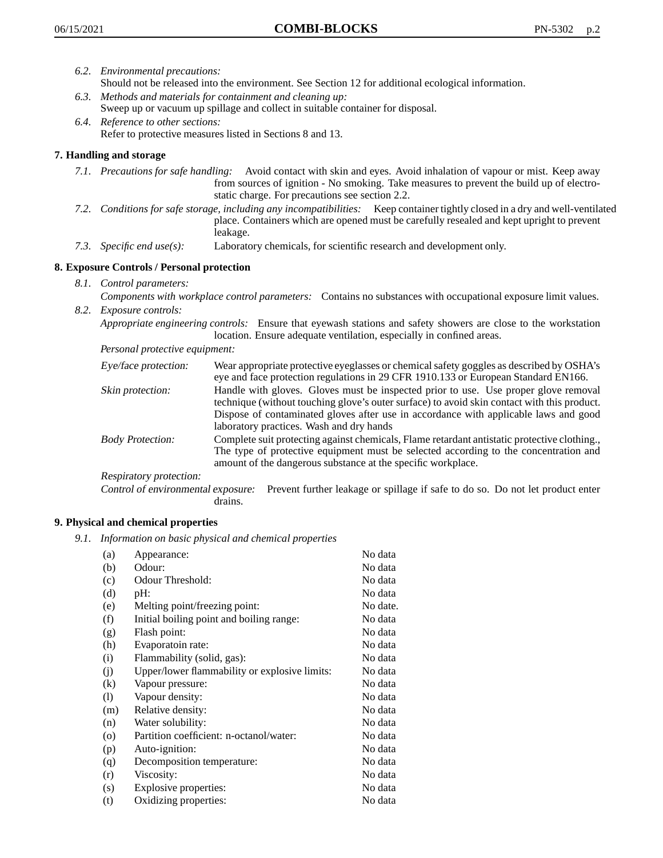- *6.2. Environmental precautions:* Should not be released into the environment. See Section 12 for additional ecological information.
- *6.3. Methods and materials for containment and cleaning up:* Sweep up or vacuum up spillage and collect in suitable container for disposal.
- *6.4. Reference to other sections:* Refer to protective measures listed in Sections 8 and 13.

# **7. Handling and storage**

- *7.1. Precautions for safe handling:* Avoid contact with skin and eyes. Avoid inhalation of vapour or mist. Keep away from sources of ignition - No smoking. Take measures to prevent the build up of electrostatic charge. For precautions see section 2.2.
- *7.2. Conditions for safe storage, including any incompatibilities:* Keep container tightly closed in a dry and well-ventilated place. Containers which are opened must be carefully resealed and kept upright to prevent leakage.
- *7.3. Specific end use(s):* Laboratory chemicals, for scientific research and development only.

# **8. Exposure Controls / Personal protection**

- *8.1. Control parameters:*
- *Components with workplace control parameters:* Contains no substances with occupational exposure limit values. *8.2. Exposure controls:*

*Appropriate engineering controls:* Ensure that eyewash stations and safety showers are close to the workstation location. Ensure adequate ventilation, especially in confined areas.

*Personal protective equipment:*

| Eye/face protection:    | Wear appropriate protective eyeglasses or chemical safety goggles as described by OSHA's<br>eye and face protection regulations in 29 CFR 1910.133 or European Standard EN166.                                                                                                                                         |
|-------------------------|------------------------------------------------------------------------------------------------------------------------------------------------------------------------------------------------------------------------------------------------------------------------------------------------------------------------|
| Skin protection:        | Handle with gloves. Gloves must be inspected prior to use. Use proper glove removal<br>technique (without touching glove's outer surface) to avoid skin contact with this product.<br>Dispose of contaminated gloves after use in accordance with applicable laws and good<br>laboratory practices. Wash and dry hands |
| <b>Body Protection:</b> | Complete suit protecting against chemicals, Flame retardant antistatic protective clothing.,<br>The type of protective equipment must be selected according to the concentration and<br>amount of the dangerous substance at the specific workplace.                                                                   |
| Respiratory protection: |                                                                                                                                                                                                                                                                                                                        |

Control of environmental exposure: Prevent further leakage or spillage if safe to do so. Do not let product enter drains.

## **9. Physical and chemical properties**

*9.1. Information on basic physical and chemical properties*

| (a)      | Appearance:                                   | No data  |
|----------|-----------------------------------------------|----------|
| (b)      | Odour:                                        | No data  |
| (c)      | Odour Threshold:                              | No data  |
| (d)      | pH:                                           | No data  |
| (e)      | Melting point/freezing point:                 | No date. |
| (f)      | Initial boiling point and boiling range:      | No data  |
| (g)      | Flash point:                                  | No data  |
| (h)      | Evaporatoin rate:                             | No data  |
| (i)      | Flammability (solid, gas):                    | No data  |
| (j)      | Upper/lower flammability or explosive limits: | No data  |
| $\rm(k)$ | Vapour pressure:                              | No data  |
| (1)      | Vapour density:                               | No data  |
| (m)      | Relative density:                             | No data  |
| (n)      | Water solubility:                             | No data  |
| $\circ$  | Partition coefficient: n-octanol/water:       | No data  |
| (p)      | Auto-ignition:                                | No data  |
| (q)      | Decomposition temperature:                    | No data  |
| (r)      | Viscosity:                                    | No data  |
| (s)      | Explosive properties:                         | No data  |
| (t)      | Oxidizing properties:                         | No data  |